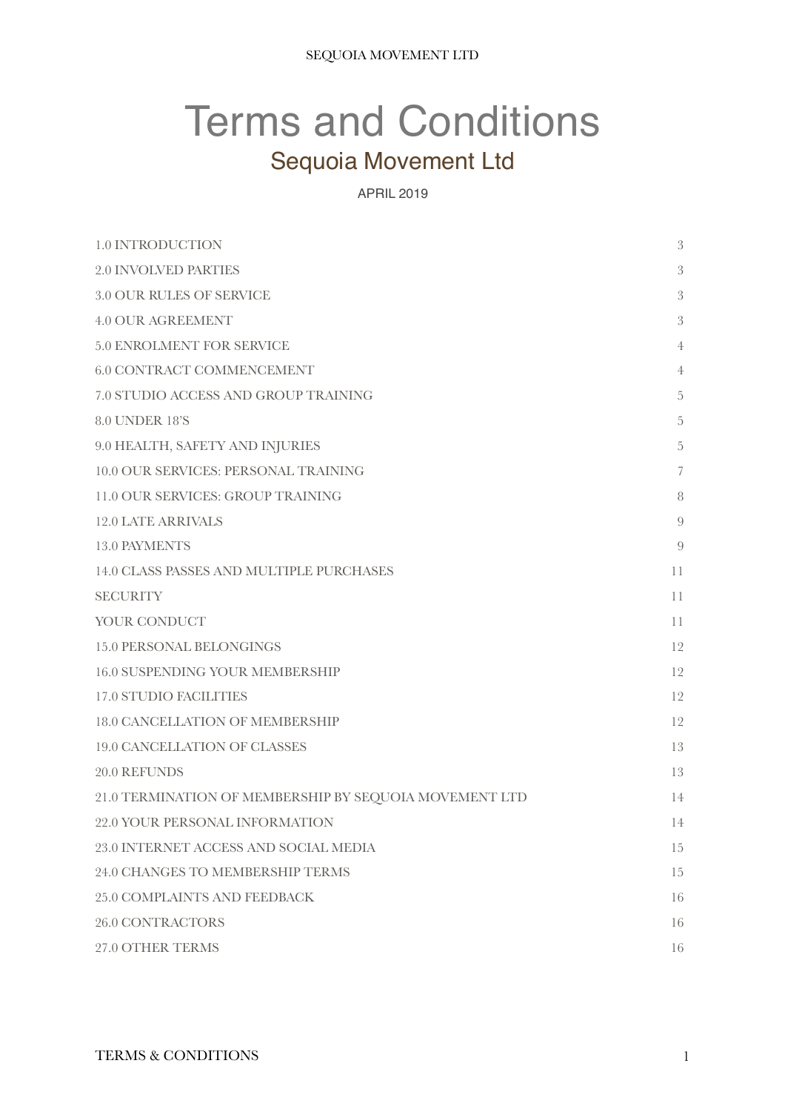# Terms and Conditions Sequoia Movement Ltd

#### APRIL 2019

| 1.0 INTRODUCTION                                       | 3                        |
|--------------------------------------------------------|--------------------------|
| <b>2.0 INVOLVED PARTIES</b>                            | $\mathfrak{Z}$           |
| <b>3.0 OUR RULES OF SERVICE</b>                        | 3                        |
| <b>4.0 OUR AGREEMENT</b>                               | 3                        |
| 5.0 ENROLMENT FOR SERVICE                              | $\overline{4}$           |
| <b>6.0 CONTRACT COMMENCEMENT</b>                       | 4                        |
| 7.0 STUDIO ACCESS AND GROUP TRAINING                   | $\overline{5}$           |
| <b>8.0 UNDER 18'S</b>                                  | 5                        |
| 9.0 HEALTH, SAFETY AND INJURIES                        | $\overline{5}$           |
| 10.0 OUR SERVICES: PERSONAL TRAINING                   | $\overline{\phantom{a}}$ |
| 11.0 OUR SERVICES: GROUP TRAINING                      | 8                        |
| <b>12.0 LATE ARRIVALS</b>                              | 9                        |
| <b>13.0 PAYMENTS</b>                                   | 9                        |
| 14.0 CLASS PASSES AND MULTIPLE PURCHASES               | 11                       |
| <b>SECURITY</b>                                        | 11                       |
| YOUR CONDUCT                                           | 11                       |
| <b>15.0 PERSONAL BELONGINGS</b>                        | 12                       |
| <b>16.0 SUSPENDING YOUR MEMBERSHIP</b>                 | 12                       |
| <b>17.0 STUDIO FACILITIES</b>                          | 12                       |
| 18.0 CANCELLATION OF MEMBERSHIP                        | 12                       |
| 19.0 CANCELLATION OF CLASSES                           | 13                       |
| 20.0 REFUNDS                                           | 13                       |
| 21.0 TERMINATION OF MEMBERSHIP BY SEQUOIA MOVEMENT LTD | 14                       |
| 22.0 YOUR PERSONAL INFORMATION                         | 14                       |
| 23.0 INTERNET ACCESS AND SOCIAL MEDIA                  | 15                       |
| 24.0 CHANGES TO MEMBERSHIP TERMS                       | 15                       |
| <b>25.0 COMPLAINTS AND FEEDBACK</b>                    | 16                       |
| <b>26.0 CONTRACTORS</b>                                | 16                       |
| 27.0 OTHER TERMS                                       | 16                       |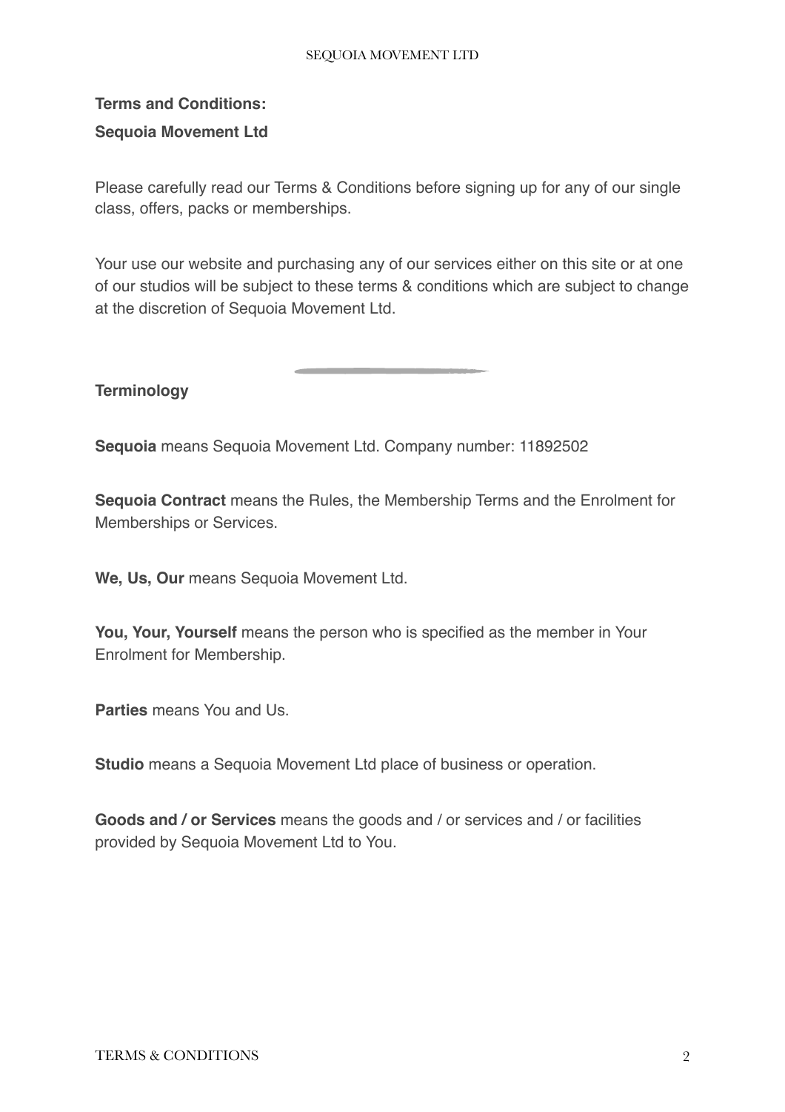#### SEQUOIA MOVEMENT LTD

# **Terms and Conditions: Sequoia Movement Ltd**

Please carefully read our Terms & Conditions before signing up for any of our single class, offers, packs or memberships.

Your use our website and purchasing any of our services either on this site or at one of our studios will be subject to these terms & conditions which are subject to change at the discretion of Sequoia Movement Ltd.

**Terminology**

**Sequoia** means Sequoia Movement Ltd. Company number: 11892502

**Sequoia Contract** means the Rules, the Membership Terms and the Enrolment for Memberships or Services.

**We, Us, Our** means Sequoia Movement Ltd.

**You, Your, Yourself** means the person who is specified as the member in Your Enrolment for Membership.

**Parties** means You and Us.

**Studio** means a Sequoia Movement Ltd place of business or operation.

**Goods and / or Services** means the goods and / or services and / or facilities provided by Sequoia Movement Ltd to You.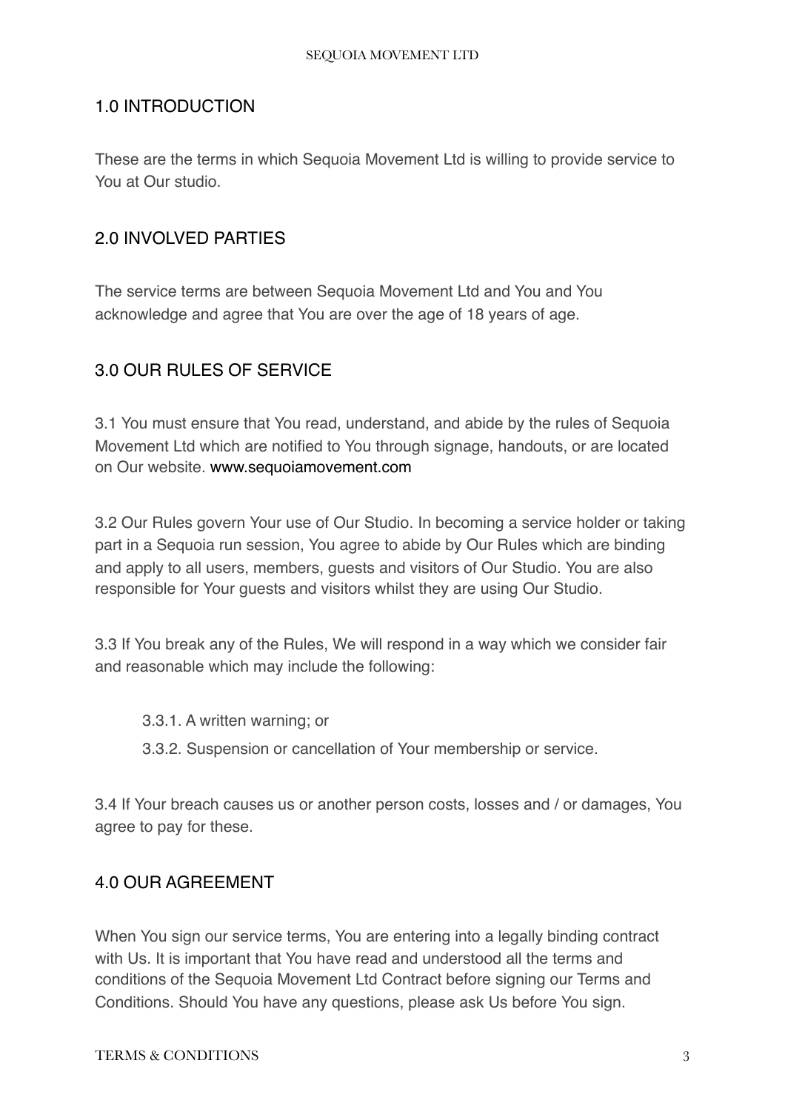#### <span id="page-2-0"></span>1.0 INTRODUCTION

These are the terms in which Sequoia Movement Ltd is willing to provide service to You at Our studio.

# <span id="page-2-1"></span>2.0 INVOLVED PARTIES

The service terms are between Sequoia Movement Ltd and You and You acknowledge and agree that You are over the age of 18 years of age.

# <span id="page-2-2"></span>3.0 OUR RULES OF SERVICE

3.1 You must ensure that You read, understand, and abide by the rules of Sequoia Movement Ltd which are notified to You through signage, handouts, or are located on Our website. [www.sequoiamovement.com](http://www.thefitnessplayground.com.au/?_fs=10f294d1-2e9c-48f5-b5f0-d77b23263f69)

3.2 Our Rules govern Your use of Our Studio. In becoming a service holder or taking part in a Sequoia run session, You agree to abide by Our Rules which are binding and apply to all users, members, guests and visitors of Our Studio. You are also responsible for Your guests and visitors whilst they are using Our Studio.

3.3 If You break any of the Rules, We will respond in a way which we consider fair and reasonable which may include the following:

3.3.1. A written warning; or 3.3.2. Suspension or cancellation of Your membership or service.

3.4 If Your breach causes us or another person costs, losses and / or damages, You agree to pay for these.

#### <span id="page-2-3"></span>4.0 OUR AGREEMENT

When You sign our service terms, You are entering into a legally binding contract with Us. It is important that You have read and understood all the terms and conditions of the Sequoia Movement Ltd Contract before signing our Terms and Conditions. Should You have any questions, please ask Us before You sign.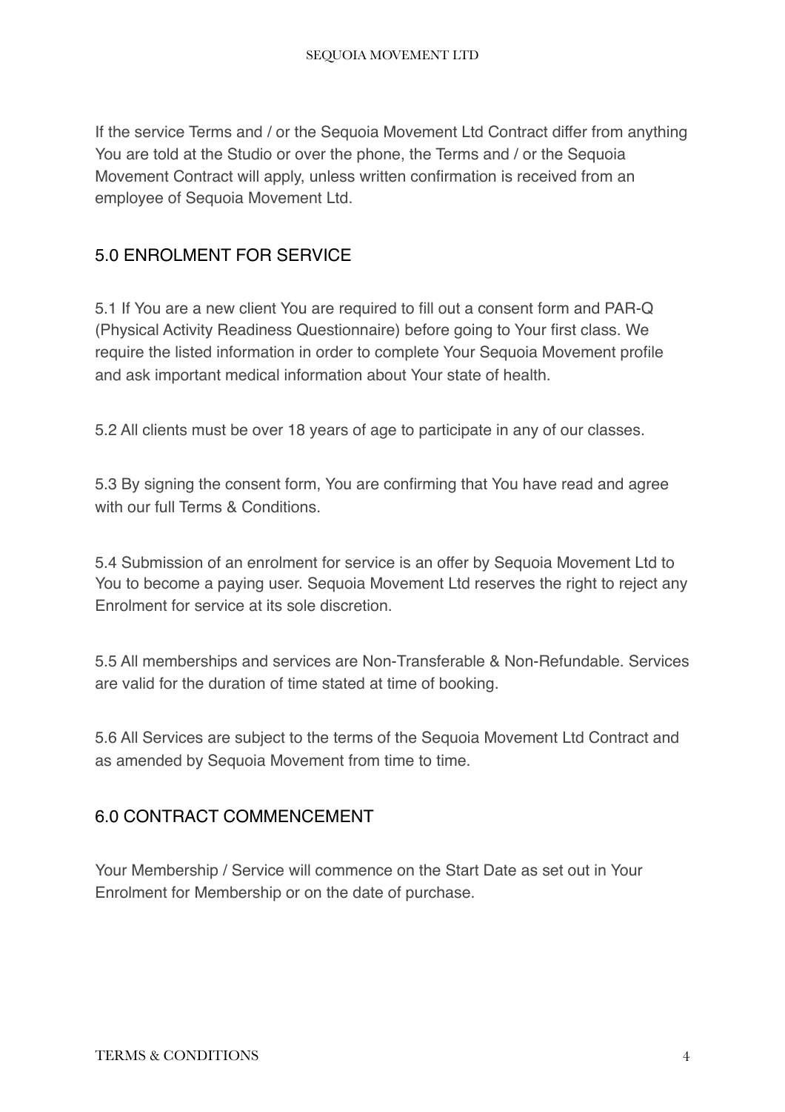If the service Terms and / or the Sequoia Movement Ltd Contract differ from anything You are told at the Studio or over the phone, the Terms and / or the Sequoia Movement Contract will apply, unless written confirmation is received from an employee of Sequoia Movement Ltd.

# <span id="page-3-0"></span>5.0 ENROLMENT FOR SERVICE

5.1 If You are a new client You are required to fill out a consent form and PAR-Q (Physical Activity Readiness Questionnaire) before going to Your first class. We require the listed information in order to complete Your Sequoia Movement profile and ask important medical information about Your state of health.

5.2 All clients must be over 18 years of age to participate in any of our classes.

5.3 By signing the consent form, You are confirming that You have read and agree with our full Terms & Conditions

5.4 Submission of an enrolment for service is an offer by Sequoia Movement Ltd to You to become a paying user. Sequoia Movement Ltd reserves the right to reject any Enrolment for service at its sole discretion.

5.5 All memberships and services are Non-Transferable & Non-Refundable. Services are valid for the duration of time stated at time of booking.

5.6 All Services are subject to the terms of the Sequoia Movement Ltd Contract and as amended by Sequoia Movement from time to time.

# <span id="page-3-1"></span>6.0 CONTRACT COMMENCEMENT

Your Membership / Service will commence on the Start Date as set out in Your Enrolment for Membership or on the date of purchase.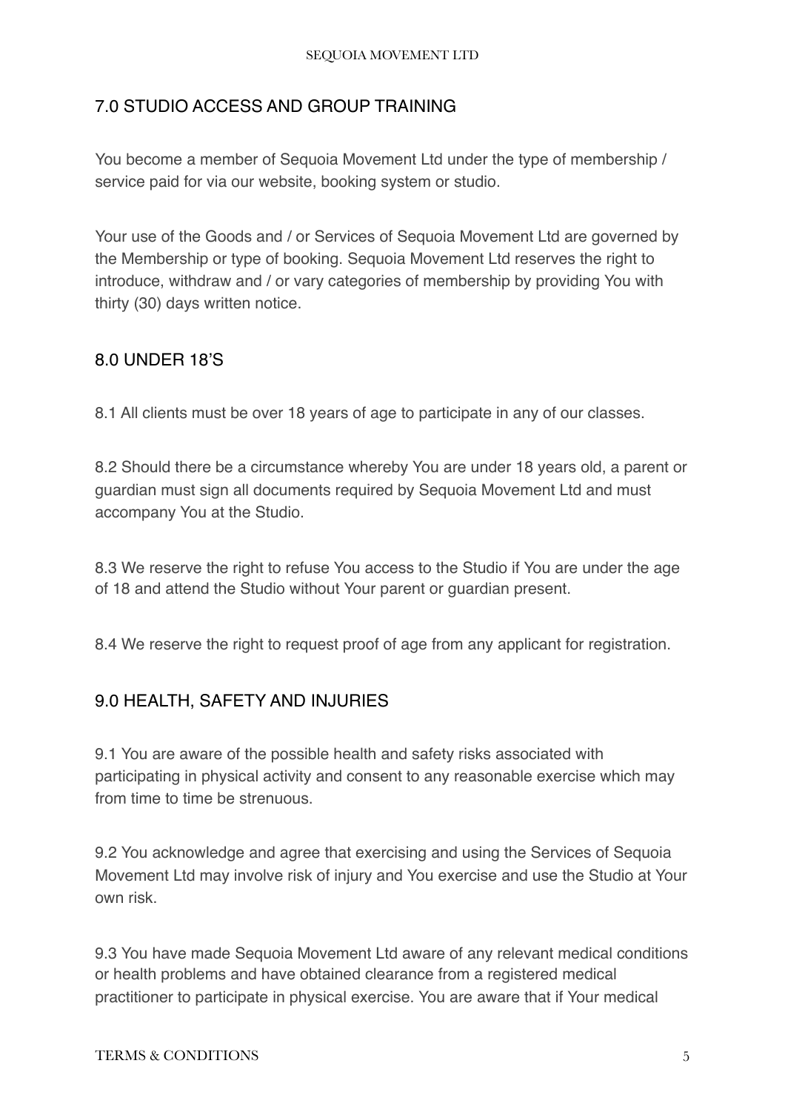# <span id="page-4-0"></span>7.0 STUDIO ACCESS AND GROUP TRAINING

You become a member of Sequoia Movement Ltd under the type of membership / service paid for via our website, booking system or studio.

Your use of the Goods and / or Services of Sequoia Movement Ltd are governed by the Membership or type of booking. Sequoia Movement Ltd reserves the right to introduce, withdraw and / or vary categories of membership by providing You with thirty (30) days written notice.

#### <span id="page-4-1"></span>8.0 UNDER 18'S

8.1 All clients must be over 18 years of age to participate in any of our classes.

8.2 Should there be a circumstance whereby You are under 18 years old, a parent or guardian must sign all documents required by Sequoia Movement Ltd and must accompany You at the Studio.

8.3 We reserve the right to refuse You access to the Studio if You are under the age of 18 and attend the Studio without Your parent or guardian present.

8.4 We reserve the right to request proof of age from any applicant for registration.

# <span id="page-4-2"></span>9.0 HEALTH, SAFETY AND INJURIES

9.1 You are aware of the possible health and safety risks associated with participating in physical activity and consent to any reasonable exercise which may from time to time be strenuous.

9.2 You acknowledge and agree that exercising and using the Services of Sequoia Movement Ltd may involve risk of injury and You exercise and use the Studio at Your own risk.

9.3 You have made Sequoia Movement Ltd aware of any relevant medical conditions or health problems and have obtained clearance from a registered medical practitioner to participate in physical exercise. You are aware that if Your medical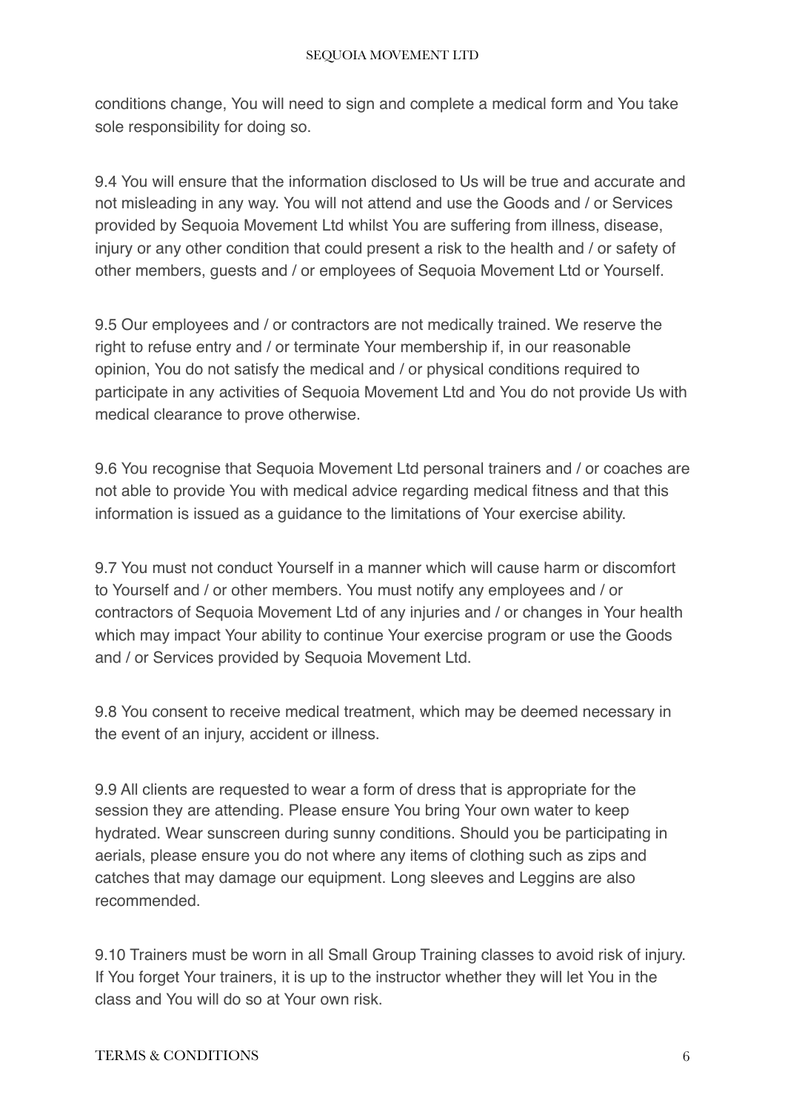conditions change, You will need to sign and complete a medical form and You take sole responsibility for doing so.

9.4 You will ensure that the information disclosed to Us will be true and accurate and not misleading in any way. You will not attend and use the Goods and / or Services provided by Sequoia Movement Ltd whilst You are suffering from illness, disease, injury or any other condition that could present a risk to the health and / or safety of other members, guests and / or employees of Sequoia Movement Ltd or Yourself.

9.5 Our employees and / or contractors are not medically trained. We reserve the right to refuse entry and / or terminate Your membership if, in our reasonable opinion, You do not satisfy the medical and / or physical conditions required to participate in any activities of Sequoia Movement Ltd and You do not provide Us with medical clearance to prove otherwise.

9.6 You recognise that Sequoia Movement Ltd personal trainers and / or coaches are not able to provide You with medical advice regarding medical fitness and that this information is issued as a guidance to the limitations of Your exercise ability.

9.7 You must not conduct Yourself in a manner which will cause harm or discomfort to Yourself and / or other members. You must notify any employees and / or contractors of Sequoia Movement Ltd of any injuries and / or changes in Your health which may impact Your ability to continue Your exercise program or use the Goods and / or Services provided by Sequoia Movement Ltd.

9.8 You consent to receive medical treatment, which may be deemed necessary in the event of an injury, accident or illness.

9.9 All clients are requested to wear a form of dress that is appropriate for the session they are attending. Please ensure You bring Your own water to keep hydrated. Wear sunscreen during sunny conditions. Should you be participating in aerials, please ensure you do not where any items of clothing such as zips and catches that may damage our equipment. Long sleeves and Leggins are also recommended.

9.10 Trainers must be worn in all Small Group Training classes to avoid risk of injury. If You forget Your trainers, it is up to the instructor whether they will let You in the class and You will do so at Your own risk.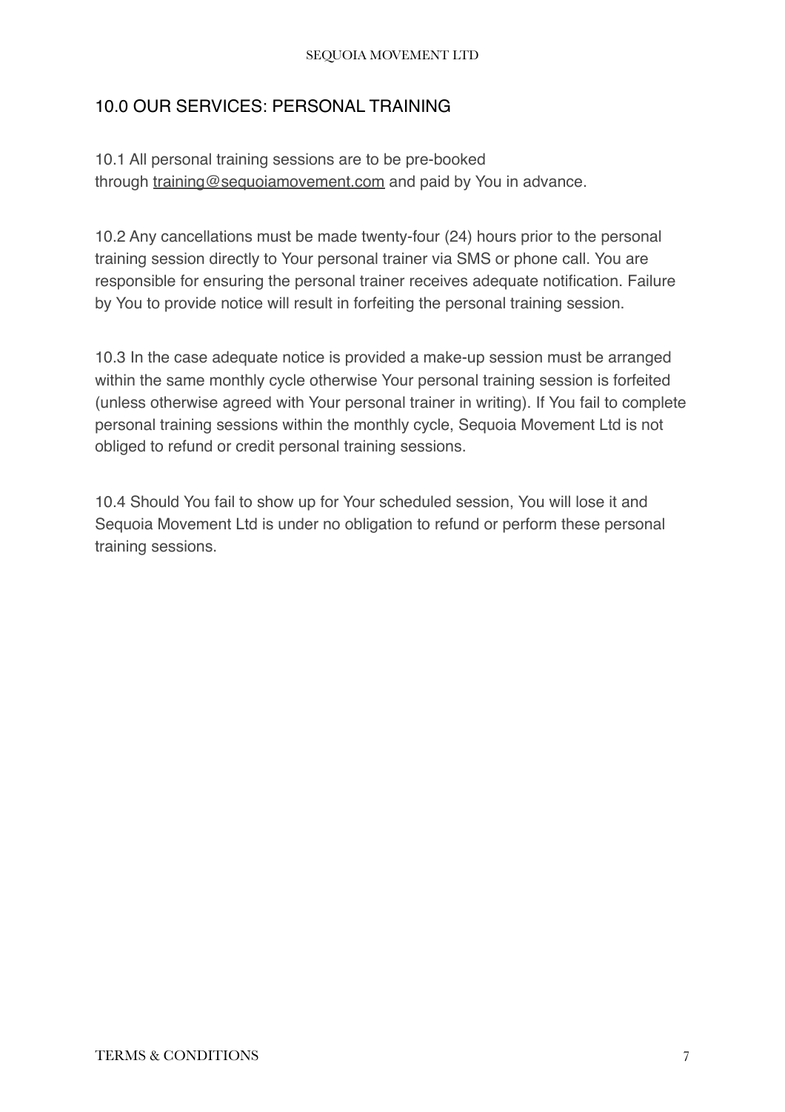#### SEQUOIA MOVEMENT LTD

#### <span id="page-6-0"></span>10.0 OUR SERVICES: PERSONAL TRAINING

10.1 All personal training sessions are to be pre-booked through [training@sequoiamovement.com](mailto:training@sequoiamovement.com) and paid by You in advance.

10.2 Any cancellations must be made twenty-four (24) hours prior to the personal training session directly to Your personal trainer via SMS or phone call. You are responsible for ensuring the personal trainer receives adequate notification. Failure by You to provide notice will result in forfeiting the personal training session.

10.3 In the case adequate notice is provided a make-up session must be arranged within the same monthly cycle otherwise Your personal training session is forfeited (unless otherwise agreed with Your personal trainer in writing). If You fail to complete personal training sessions within the monthly cycle, Sequoia Movement Ltd is not obliged to refund or credit personal training sessions.

10.4 Should You fail to show up for Your scheduled session, You will lose it and Sequoia Movement Ltd is under no obligation to refund or perform these personal training sessions.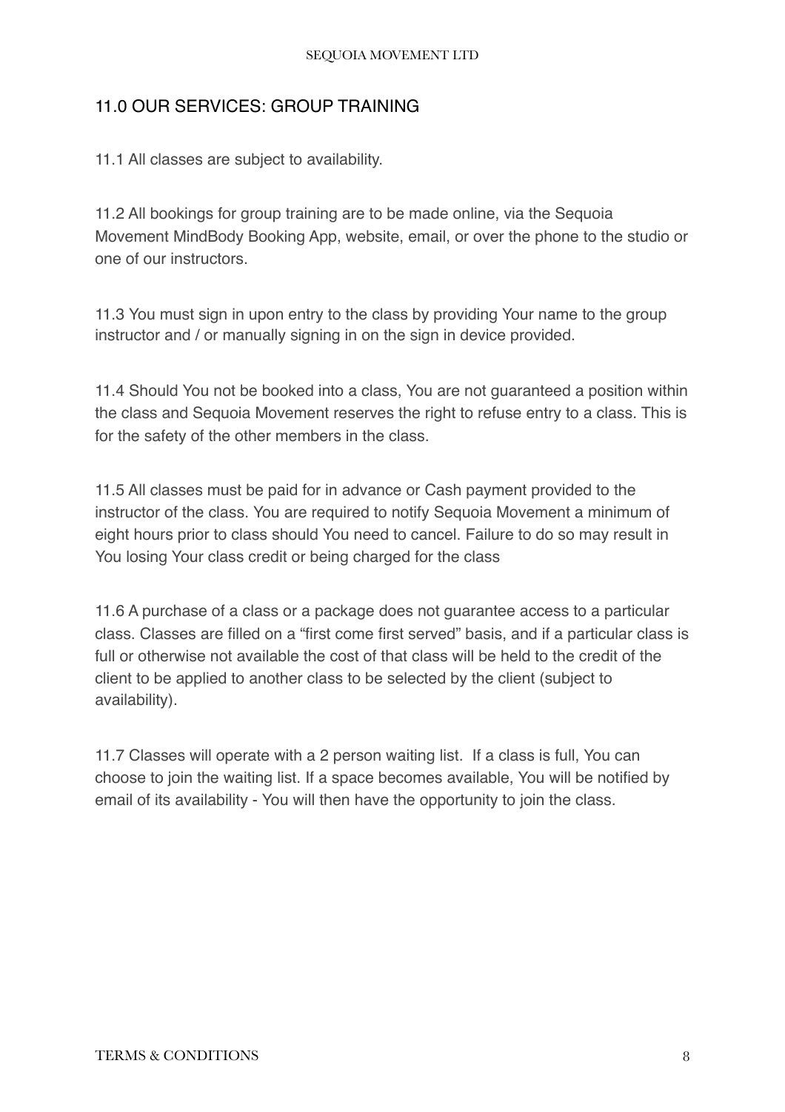# <span id="page-7-0"></span>11.0 OUR SERVICES: GROUP TRAINING

11.1 All classes are subject to availability.

11.2 All bookings for group training are to be made online, via the Sequoia Movement MindBody Booking App, website, email, or over the phone to the studio or one of our instructors.

11.3 You must sign in upon entry to the class by providing Your name to the group instructor and / or manually signing in on the sign in device provided.

11.4 Should You not be booked into a class, You are not guaranteed a position within the class and Sequoia Movement reserves the right to refuse entry to a class. This is for the safety of the other members in the class.

11.5 All classes must be paid for in advance or Cash payment provided to the instructor of the class. You are required to notify Sequoia Movement a minimum of eight hours prior to class should You need to cancel. Failure to do so may result in You losing Your class credit or being charged for the class

11.6 A purchase of a class or a package does not guarantee access to a particular class. Classes are filled on a "first come first served" basis, and if a particular class is full or otherwise not available the cost of that class will be held to the credit of the client to be applied to another class to be selected by the client (subject to availability).

11.7 Classes will operate with a 2 person waiting list. If a class is full, You can choose to join the waiting list. If a space becomes available, You will be notified by email of its availability - You will then have the opportunity to join the class.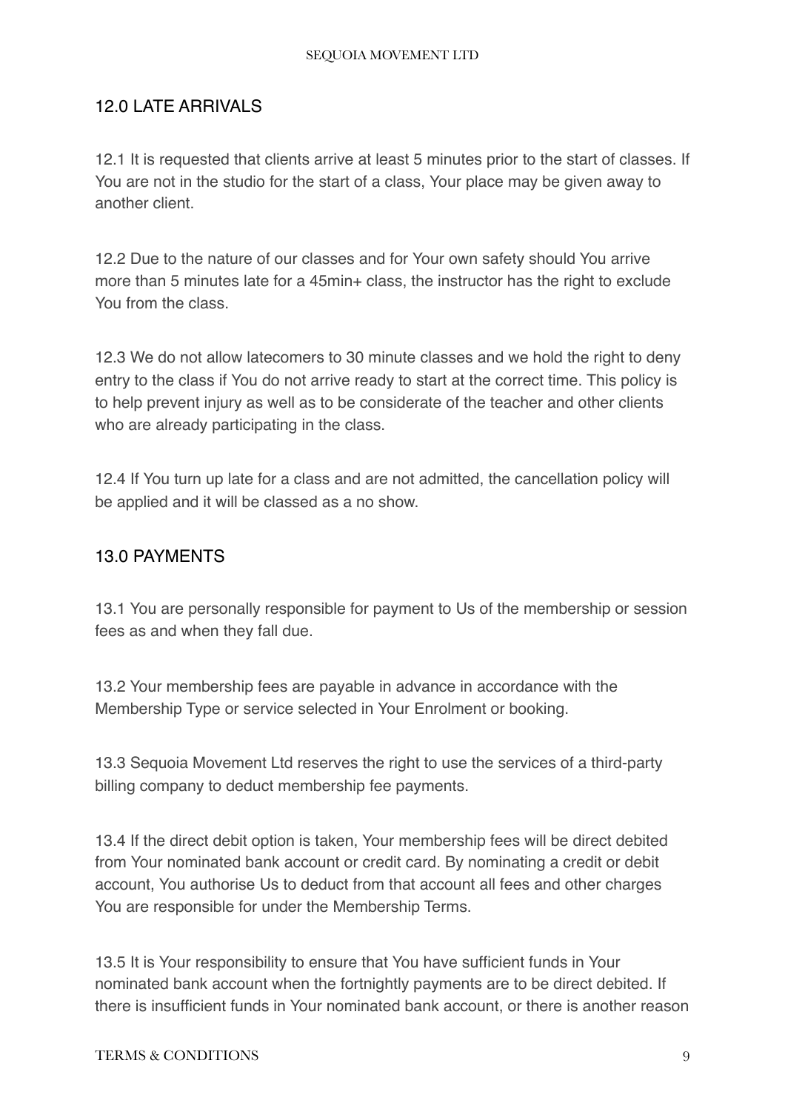#### SEQUOIA MOVEMENT LTD

# <span id="page-8-0"></span>12.0 LATE ARRIVALS

12.1 It is requested that clients arrive at least 5 minutes prior to the start of classes. If You are not in the studio for the start of a class, Your place may be given away to another client.

12.2 Due to the nature of our classes and for Your own safety should You arrive more than 5 minutes late for a 45min+ class, the instructor has the right to exclude You from the class.

12.3 We do not allow latecomers to 30 minute classes and we hold the right to deny entry to the class if You do not arrive ready to start at the correct time. This policy is to help prevent injury as well as to be considerate of the teacher and other clients who are already participating in the class.

12.4 If You turn up late for a class and are not admitted, the cancellation policy will be applied and it will be classed as a no show.

# <span id="page-8-1"></span>13.0 PAYMENTS

13.1 You are personally responsible for payment to Us of the membership or session fees as and when they fall due.

13.2 Your membership fees are payable in advance in accordance with the Membership Type or service selected in Your Enrolment or booking.

13.3 Sequoia Movement Ltd reserves the right to use the services of a third-party billing company to deduct membership fee payments.

13.4 If the direct debit option is taken, Your membership fees will be direct debited from Your nominated bank account or credit card. By nominating a credit or debit account, You authorise Us to deduct from that account all fees and other charges You are responsible for under the Membership Terms.

13.5 It is Your responsibility to ensure that You have sufficient funds in Your nominated bank account when the fortnightly payments are to be direct debited. If there is insufficient funds in Your nominated bank account, or there is another reason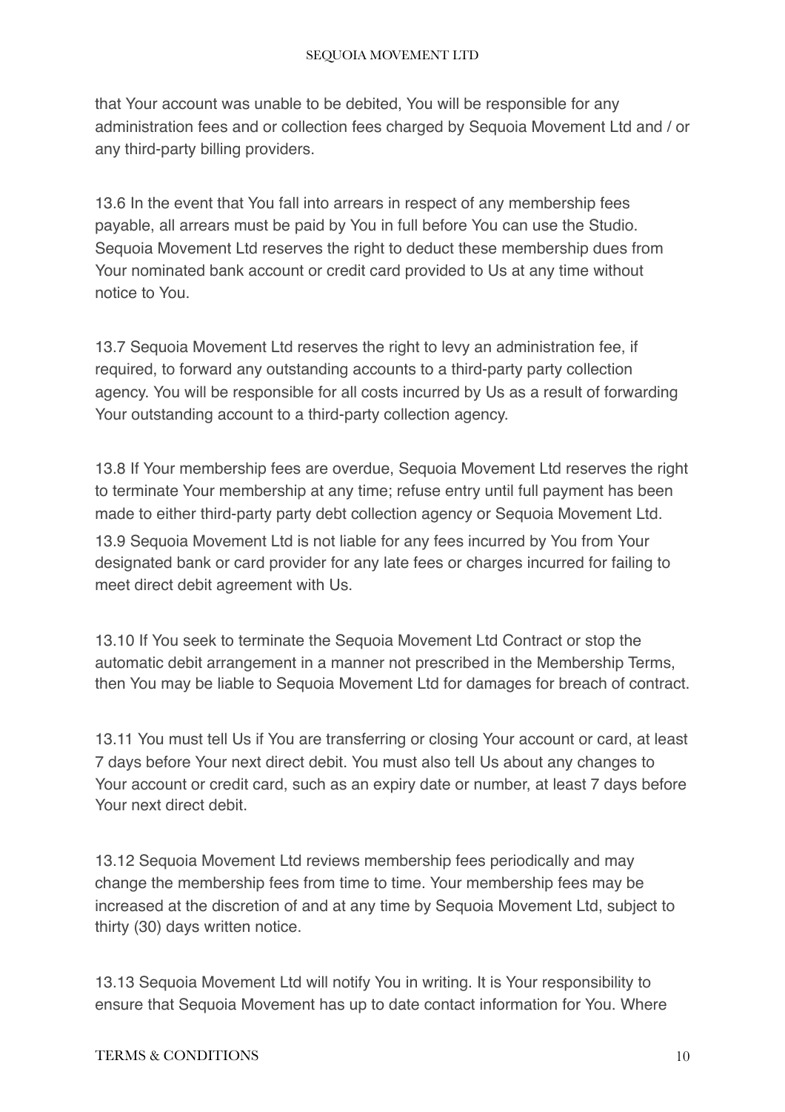that Your account was unable to be debited, You will be responsible for any administration fees and or collection fees charged by Sequoia Movement Ltd and / or any third-party billing providers.

13.6 In the event that You fall into arrears in respect of any membership fees payable, all arrears must be paid by You in full before You can use the Studio. Sequoia Movement Ltd reserves the right to deduct these membership dues from Your nominated bank account or credit card provided to Us at any time without notice to You.

13.7 Sequoia Movement Ltd reserves the right to levy an administration fee, if required, to forward any outstanding accounts to a third-party party collection agency. You will be responsible for all costs incurred by Us as a result of forwarding Your outstanding account to a third-party collection agency.

13.8 If Your membership fees are overdue, Sequoia Movement Ltd reserves the right to terminate Your membership at any time; refuse entry until full payment has been made to either third-party party debt collection agency or Sequoia Movement Ltd.

13.9 Sequoia Movement Ltd is not liable for any fees incurred by You from Your designated bank or card provider for any late fees or charges incurred for failing to meet direct debit agreement with Us.

13.10 If You seek to terminate the Sequoia Movement Ltd Contract or stop the automatic debit arrangement in a manner not prescribed in the Membership Terms, then You may be liable to Sequoia Movement Ltd for damages for breach of contract.

13.11 You must tell Us if You are transferring or closing Your account or card, at least 7 days before Your next direct debit. You must also tell Us about any changes to Your account or credit card, such as an expiry date or number, at least 7 days before Your next direct debit.

13.12 Sequoia Movement Ltd reviews membership fees periodically and may change the membership fees from time to time. Your membership fees may be increased at the discretion of and at any time by Sequoia Movement Ltd, subject to thirty (30) days written notice.

13.13 Sequoia Movement Ltd will notify You in writing. It is Your responsibility to ensure that Sequoia Movement has up to date contact information for You. Where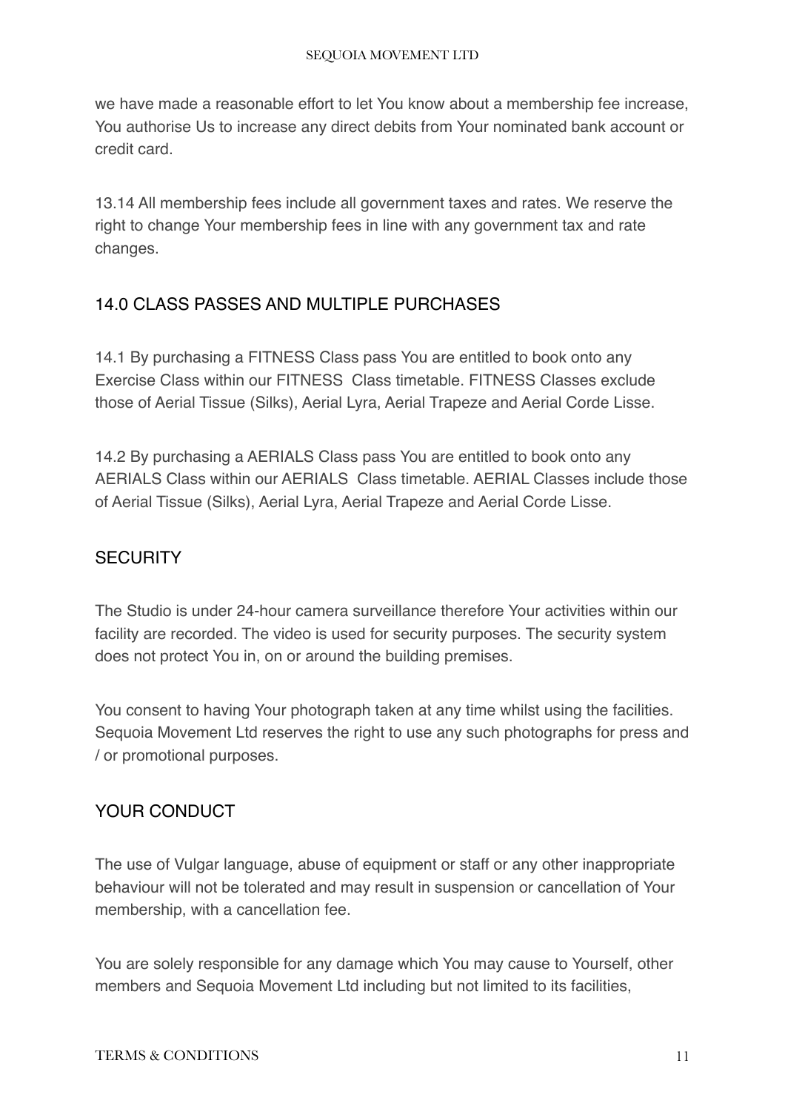we have made a reasonable effort to let You know about a membership fee increase, You authorise Us to increase any direct debits from Your nominated bank account or credit card.

13.14 All membership fees include all government taxes and rates. We reserve the right to change Your membership fees in line with any government tax and rate changes.

# <span id="page-10-0"></span>14.0 CLASS PASSES AND MULTIPLE PURCHASES

14.1 By purchasing a FITNESS Class pass You are entitled to book onto any Exercise Class within our FITNESS Class timetable. FITNESS Classes exclude those of Aerial Tissue (Silks), Aerial Lyra, Aerial Trapeze and Aerial Corde Lisse.

14.2 By purchasing a AERIALS Class pass You are entitled to book onto any AERIALS Class within our AERIALS Class timetable. AERIAL Classes include those of Aerial Tissue (Silks), Aerial Lyra, Aerial Trapeze and Aerial Corde Lisse.

# <span id="page-10-1"></span>**SECURITY**

The Studio is under 24-hour camera surveillance therefore Your activities within our facility are recorded. The video is used for security purposes. The security system does not protect You in, on or around the building premises.

You consent to having Your photograph taken at any time whilst using the facilities. Sequoia Movement Ltd reserves the right to use any such photographs for press and / or promotional purposes.

# <span id="page-10-2"></span>YOUR CONDUCT

The use of Vulgar language, abuse of equipment or staff or any other inappropriate behaviour will not be tolerated and may result in suspension or cancellation of Your membership, with a cancellation fee.

You are solely responsible for any damage which You may cause to Yourself, other members and Sequoia Movement Ltd including but not limited to its facilities,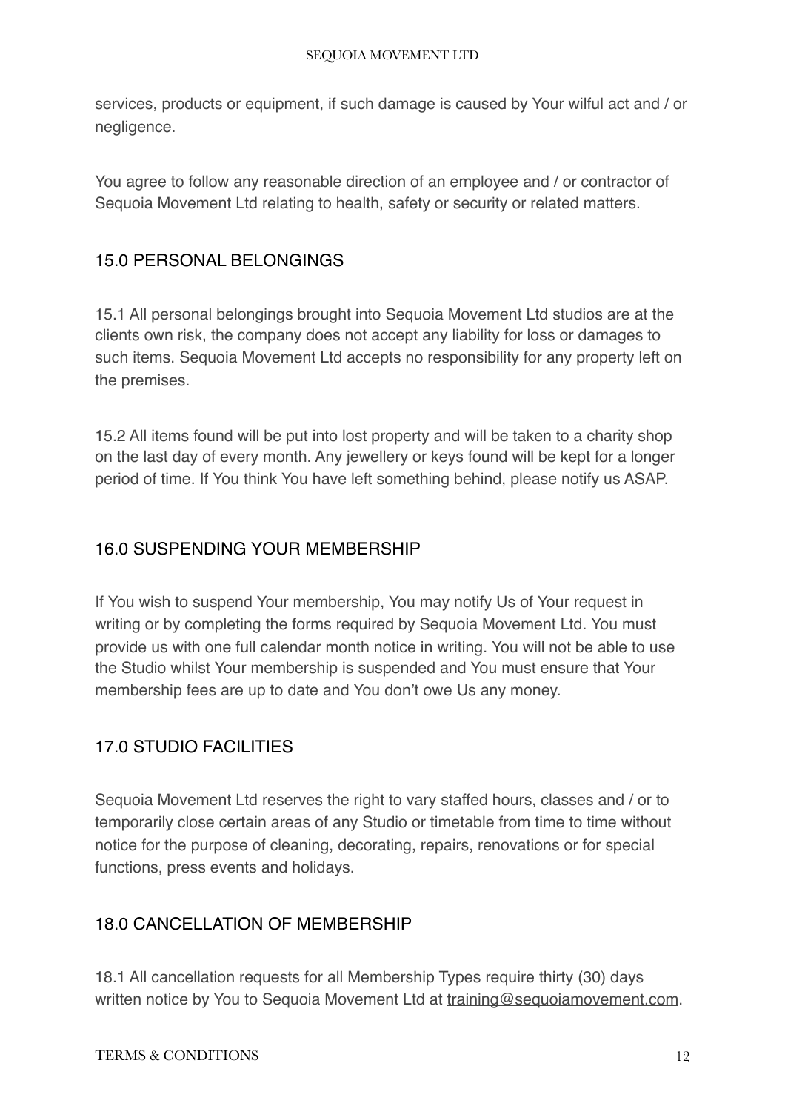services, products or equipment, if such damage is caused by Your wilful act and / or negligence.

You agree to follow any reasonable direction of an employee and / or contractor of Sequoia Movement Ltd relating to health, safety or security or related matters.

# <span id="page-11-0"></span>15.0 PERSONAL BELONGINGS

15.1 All personal belongings brought into Sequoia Movement Ltd studios are at the clients own risk, the company does not accept any liability for loss or damages to such items. Sequoia Movement Ltd accepts no responsibility for any property left on the premises.

15.2 All items found will be put into lost property and will be taken to a charity shop on the last day of every month. Any jewellery or keys found will be kept for a longer period of time. If You think You have left something behind, please notify us ASAP.

# <span id="page-11-1"></span>16.0 SUSPENDING YOUR MEMBERSHIP

If You wish to suspend Your membership, You may notify Us of Your request in writing or by completing the forms required by Sequoia Movement Ltd. You must provide us with one full calendar month notice in writing. You will not be able to use the Studio whilst Your membership is suspended and You must ensure that Your membership fees are up to date and You don't owe Us any money.

# <span id="page-11-2"></span>17.0 STUDIO FACILITIES

Sequoia Movement Ltd reserves the right to vary staffed hours, classes and / or to temporarily close certain areas of any Studio or timetable from time to time without notice for the purpose of cleaning, decorating, repairs, renovations or for special functions, press events and holidays.

# <span id="page-11-3"></span>18.0 CANCELLATION OF MEMBERSHIP

18.1 All cancellation requests for all Membership Types require thirty (30) days written notice by You to Sequoia Movement Ltd at [training@sequoiamovement.com](mailto:training@sequoiamovement.com).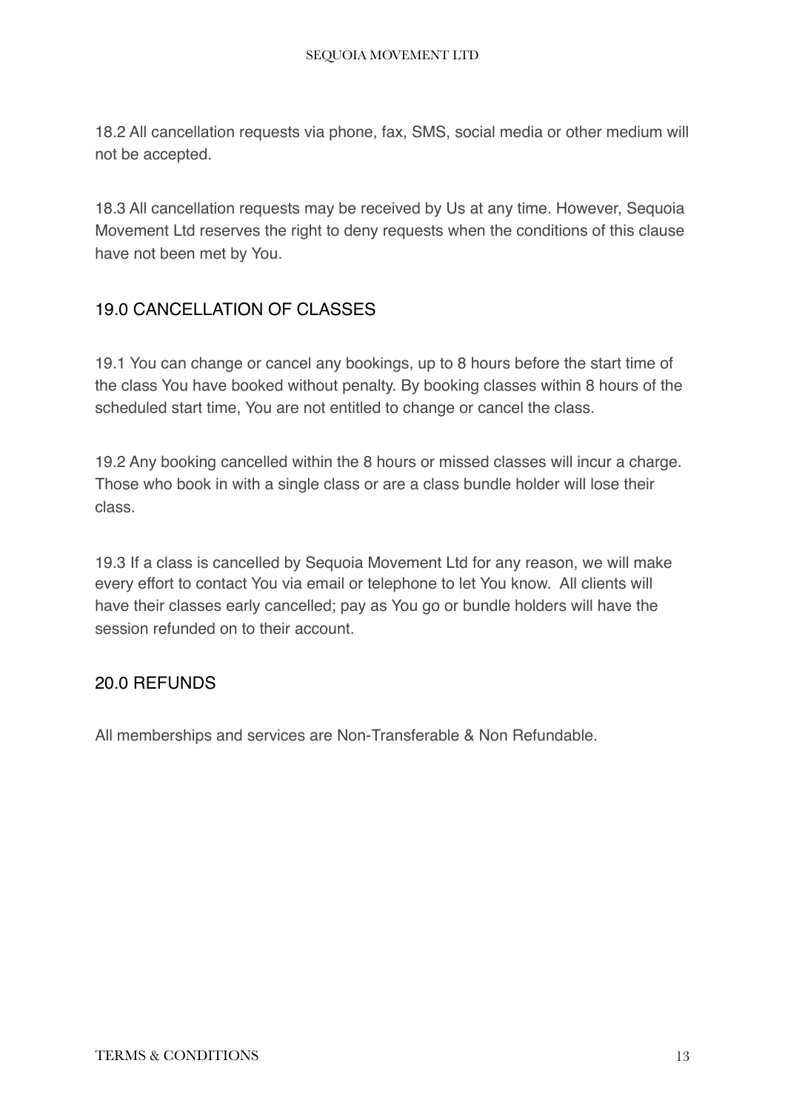18.2 All cancellation requests via phone, fax, SMS, social media or other medium will not be accepted.

18.3 All cancellation requests may be received by Us at any time. However, Sequoia Movement Ltd reserves the right to deny requests when the conditions of this clause have not been met by You.

# <span id="page-12-0"></span>19.0 CANCELLATION OF CLASSES

19.1 You can change or cancel any bookings, up to 8 hours before the start time of the class You have booked without penalty. By booking classes within 8 hours of the scheduled start time, You are not entitled to change or cancel the class.

19.2 Any booking cancelled within the 8 hours or missed classes will incur a charge. Those who book in with a single class or are a class bundle holder will lose their class.

19.3 If a class is cancelled by Sequoia Movement Ltd for any reason, we will make every effort to contact You via email or telephone to let You know. All clients will have their classes early cancelled; pay as You go or bundle holders will have the session refunded on to their account.

# <span id="page-12-1"></span>20.0 REFUNDS

All memberships and services are Non-Transferable & Non Refundable.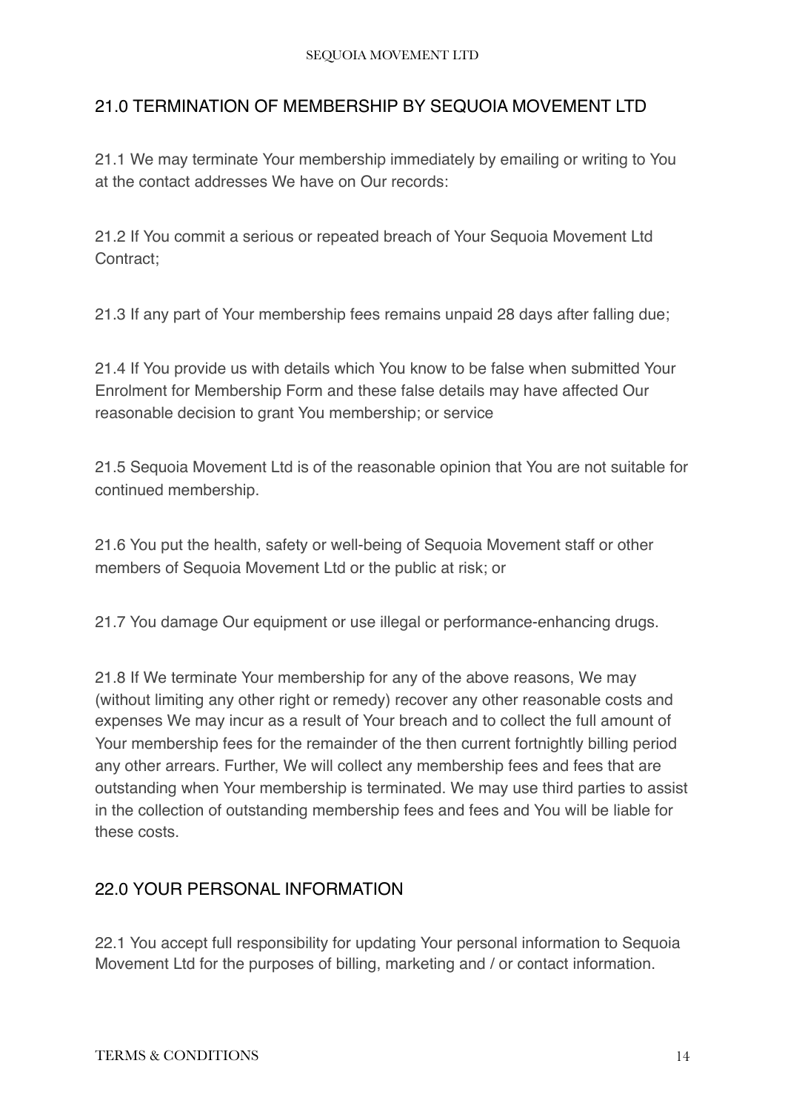# <span id="page-13-0"></span>21.0 TERMINATION OF MEMBERSHIP BY SEQUOIA MOVEMENT LTD

21.1 We may terminate Your membership immediately by emailing or writing to You at the contact addresses We have on Our records:

21.2 If You commit a serious or repeated breach of Your Sequoia Movement Ltd Contract;

21.3 If any part of Your membership fees remains unpaid 28 days after falling due;

21.4 If You provide us with details which You know to be false when submitted Your Enrolment for Membership Form and these false details may have affected Our reasonable decision to grant You membership; or service

21.5 Sequoia Movement Ltd is of the reasonable opinion that You are not suitable for continued membership.

21.6 You put the health, safety or well-being of Sequoia Movement staff or other members of Sequoia Movement Ltd or the public at risk; or

21.7 You damage Our equipment or use illegal or performance-enhancing drugs.

21.8 If We terminate Your membership for any of the above reasons, We may (without limiting any other right or remedy) recover any other reasonable costs and expenses We may incur as a result of Your breach and to collect the full amount of Your membership fees for the remainder of the then current fortnightly billing period any other arrears. Further, We will collect any membership fees and fees that are outstanding when Your membership is terminated. We may use third parties to assist in the collection of outstanding membership fees and fees and You will be liable for these costs.

# <span id="page-13-1"></span>22.0 YOUR PERSONAL INFORMATION

22.1 You accept full responsibility for updating Your personal information to Sequoia Movement Ltd for the purposes of billing, marketing and / or contact information.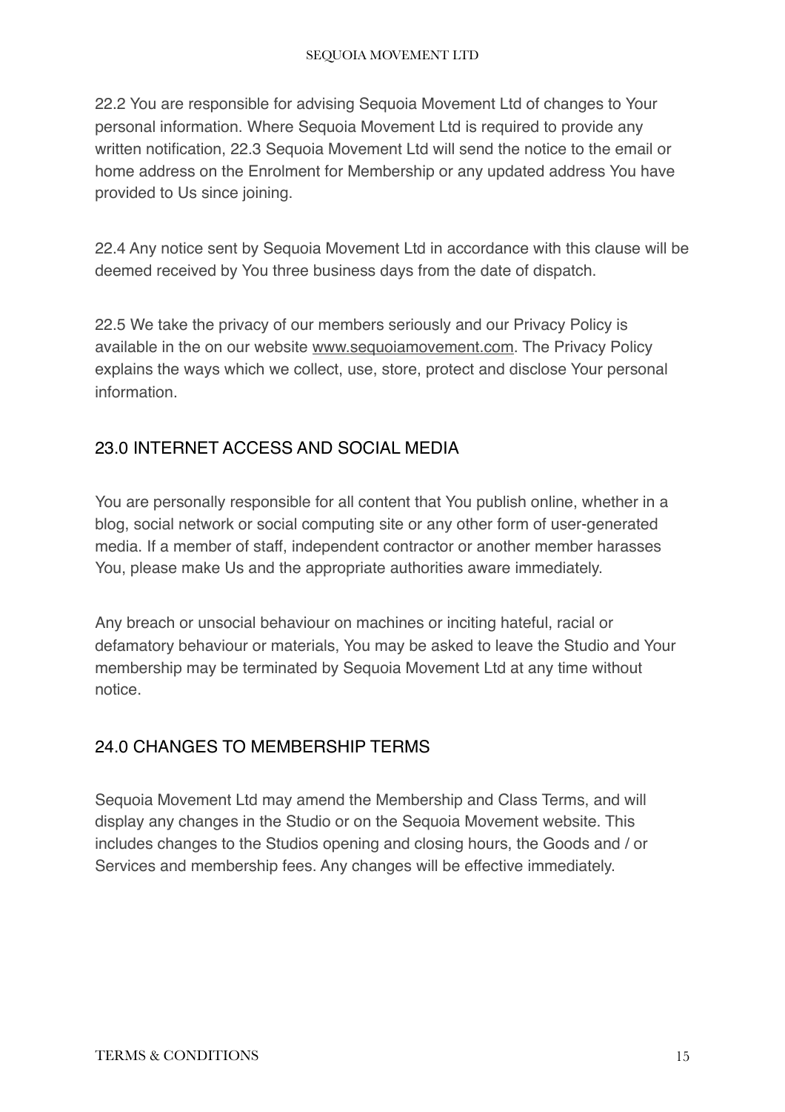22.2 You are responsible for advising Sequoia Movement Ltd of changes to Your personal information. Where Sequoia Movement Ltd is required to provide any written notification, 22.3 Sequoia Movement Ltd will send the notice to the email or home address on the Enrolment for Membership or any updated address You have provided to Us since joining.

22.4 Any notice sent by Sequoia Movement Ltd in accordance with this clause will be deemed received by You three business days from the date of dispatch.

22.5 We take the privacy of our members seriously and our Privacy Policy is available in the on our website [www.sequoiamovement.com.](http://www.sequoiamovement.com) The Privacy Policy explains the ways which we collect, use, store, protect and disclose Your personal information.

# <span id="page-14-0"></span>23.0 INTERNET ACCESS AND SOCIAL MEDIA

You are personally responsible for all content that You publish online, whether in a blog, social network or social computing site or any other form of user-generated media. If a member of staff, independent contractor or another member harasses You, please make Us and the appropriate authorities aware immediately.

Any breach or unsocial behaviour on machines or inciting hateful, racial or defamatory behaviour or materials, You may be asked to leave the Studio and Your membership may be terminated by Sequoia Movement Ltd at any time without notice.

# <span id="page-14-1"></span>24.0 CHANGES TO MEMBERSHIP TERMS

Sequoia Movement Ltd may amend the Membership and Class Terms, and will display any changes in the Studio or on the Sequoia Movement website. This includes changes to the Studios opening and closing hours, the Goods and / or Services and membership fees. Any changes will be effective immediately.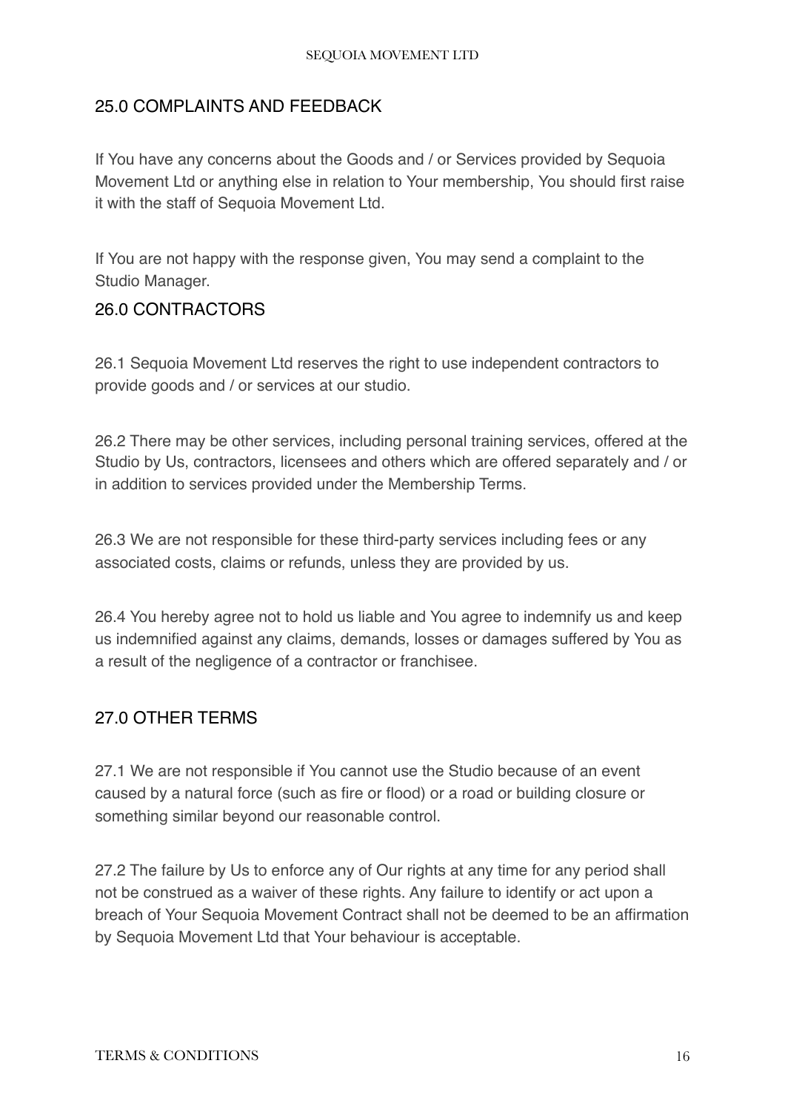# <span id="page-15-0"></span>25.0 COMPLAINTS AND FEEDBACK

If You have any concerns about the Goods and / or Services provided by Sequoia Movement Ltd or anything else in relation to Your membership, You should first raise it with the staff of Sequoia Movement Ltd.

If You are not happy with the response given, You may send a complaint to the Studio Manager.

#### <span id="page-15-1"></span>26.0 CONTRACTORS

26.1 Sequoia Movement Ltd reserves the right to use independent contractors to provide goods and / or services at our studio.

26.2 There may be other services, including personal training services, offered at the Studio by Us, contractors, licensees and others which are offered separately and / or in addition to services provided under the Membership Terms.

26.3 We are not responsible for these third-party services including fees or any associated costs, claims or refunds, unless they are provided by us.

26.4 You hereby agree not to hold us liable and You agree to indemnify us and keep us indemnified against any claims, demands, losses or damages suffered by You as a result of the negligence of a contractor or franchisee.

# <span id="page-15-2"></span>27.0 OTHER TERMS

27.1 We are not responsible if You cannot use the Studio because of an event caused by a natural force (such as fire or flood) or a road or building closure or something similar beyond our reasonable control.

27.2 The failure by Us to enforce any of Our rights at any time for any period shall not be construed as a waiver of these rights. Any failure to identify or act upon a breach of Your Sequoia Movement Contract shall not be deemed to be an affirmation by Sequoia Movement Ltd that Your behaviour is acceptable.